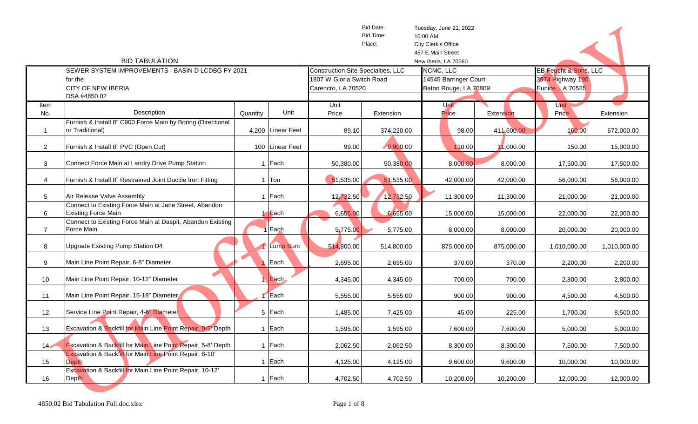|                         |                                                                                                                         |          |                               |                                           | Bid Date:  | Tuesday, June 21, 2022 |            |                       |              |
|-------------------------|-------------------------------------------------------------------------------------------------------------------------|----------|-------------------------------|-------------------------------------------|------------|------------------------|------------|-----------------------|--------------|
|                         |                                                                                                                         |          |                               |                                           | Bid Time:  | 10:00 AM               |            |                       |              |
|                         |                                                                                                                         |          |                               |                                           | Place:     | City Clerk's Office    |            |                       |              |
|                         |                                                                                                                         |          |                               |                                           |            | 457 E Main Street      |            |                       |              |
|                         | <b>BID TABULATION</b>                                                                                                   |          |                               |                                           |            | New Iberia, LA 70560   |            |                       |              |
|                         | SEWER SYSTEM IMPROVEMENTS - BASIN D LCDBG FY 2021                                                                       |          |                               | <b>Construction Site Specialties, LLC</b> |            | NCMC, LLC              |            | EB Feucht & Sons, LLC |              |
|                         | for the                                                                                                                 |          |                               | 1807 W Gloria Switch Road                 |            | 14545 Barringer Court  |            | 3974 Highway 190      |              |
|                         | <b>CITY OF NEW IBERIA</b>                                                                                               |          |                               | Carencro, LA 70520                        |            | Baton Rouge, LA 70809  |            | Eunice, LA 70535      |              |
|                         | DSA #4850.02                                                                                                            |          |                               |                                           |            |                        |            |                       |              |
| Item                    |                                                                                                                         |          |                               | Unit                                      |            | Unit                   |            | Unit                  |              |
| No.                     | Description                                                                                                             | Quantity | Unit                          | Price                                     | Extension  | Price                  | Extension  | Price                 | Extension    |
|                         | Furnish & Install 8" C900 Force Main by Boring (Directional                                                             |          |                               |                                           |            |                        |            |                       |              |
| $\overline{\mathbf{1}}$ | or Traditional)                                                                                                         |          | 4,200 Linear Feet             | 89.10                                     | 374,220.00 | 98.00                  | 411,600.00 | 160.00                | 672,000.00   |
|                         |                                                                                                                         |          |                               |                                           |            |                        |            |                       |              |
| $\overline{2}$          | Furnish & Install 8" PVC (Open Cut)                                                                                     |          | 100 Linear Feet               | 99.00                                     | 9,900.00   | 110.00                 | 1,000.00   | 150.00                | 15,000.00    |
|                         | Connect Force Main at Landry Drive Pump Station                                                                         |          | 1 Each                        |                                           |            |                        |            |                       |              |
| 3                       |                                                                                                                         |          |                               | 50,380.00                                 | 50,380.00  | 8,000.00               | 8,000.00   | 17,500.00             | 17,500.00    |
| 4                       | Furnish & Install 8" Restrained Joint Ductile Iron Fitting                                                              |          | 1 $ T$ on                     | 51,535.00                                 | 51,535.00  | 42,000.00              | 42,000.00  | 56,000.00             | 56,000.00    |
|                         |                                                                                                                         |          |                               |                                           |            |                        |            |                       |              |
| 5                       | Air Release Valve Assembly                                                                                              |          | 1 Each                        | 12,732.50                                 | 12,732.50  | 11,300.00              | 11,300.00  | 21,000.00             | 21,000.00    |
|                         | Connect to Existing Force Main at Jane Street, Abandon                                                                  |          |                               |                                           |            |                        |            |                       |              |
| 6                       | <b>Existing Force Main</b>                                                                                              |          | $\overline{\phantom{a}}$ Each | 6,655.00                                  | 6,655.00   | 15,000.00              | 15,000.00  | 22,000.00             | 22,000.00    |
|                         | Connect to Existing Force Main at Daspit, Abandon Existing                                                              |          |                               |                                           |            |                        |            |                       |              |
| $\overline{7}$          | Force Main                                                                                                              |          | Each                          | 5,775.00                                  | 5,775.00   | 8,000.00               | 8,000.00   | 20,000.00             | 20,000.00    |
|                         |                                                                                                                         |          |                               |                                           |            |                        |            |                       |              |
| 8                       | Upgrade Existing Pump Station D4                                                                                        |          | Lump Sum                      | 514,800.00                                | 514,800.00 | 875,000.00             | 875,000.00 | 1,010,000.00          | 1,010,000.00 |
|                         |                                                                                                                         |          |                               |                                           |            |                        |            |                       |              |
| 9                       | Main Line Point Repair, 6-8" Diameter                                                                                   |          | Each                          | 2,695.00                                  | 2,695.00   | 370.00                 | 370.00     | 2,200.00              | 2,200.00     |
|                         |                                                                                                                         |          |                               |                                           |            |                        |            |                       |              |
| 10                      | Main Line Point Repair, 10-12" Diameter                                                                                 |          | Each                          | 4,345.00                                  | 4,345.00   | 700.00                 | 700.00     | 2,800.00              | 2,800.00     |
|                         |                                                                                                                         |          |                               |                                           |            |                        |            |                       |              |
| 11                      | Main Line Point Repair, 15-18" Diameter                                                                                 |          | Each                          | 5,555.00                                  | 5,555.00   | 900.00                 | 900.00     | 4,500.00              | 4,500.00     |
|                         |                                                                                                                         |          |                               |                                           |            |                        |            |                       |              |
| 12                      | Service Line Point Repair, 4-6" Diameter                                                                                |          | 5 Each                        | 1,485.00                                  | 7,425.00   | 45.00                  | 225.00     | 1,700.00              | 8,500.00     |
|                         |                                                                                                                         |          |                               |                                           |            |                        |            |                       |              |
| 13                      | Excavation & Backfill for Main Line Point Repair, 0-5' Depth                                                            |          | 1 Each                        | 1,595.00                                  | 1,595.00   | 7,600.00               | 7,600.00   | 5,000.00              | 5,000.00     |
|                         |                                                                                                                         |          |                               |                                           |            |                        |            |                       |              |
| 14 <sub>7</sub>         | Excavation & Backfill for Main Line Point Repair, 5-8' Depth<br>Excavation & Backfill for Main Line Point Repair, 8-10' |          | 1 Each                        | 2,062.50                                  | 2,062.50   | 8,300.00               | 8,300.00   | 7,500.00              | 7,500.00     |
| 15                      | <b>Depth</b>                                                                                                            |          | 1 Each                        | 4,125.00                                  |            |                        |            |                       |              |
|                         | Excavation & Backfill for Main Line Point Repair, 10-12'                                                                |          |                               |                                           | 4,125.00   | 9,600.00               | 9,600.00   | 10,000.00             | 10,000.00    |
| 16                      | <b>Depth</b>                                                                                                            |          | 1 Each                        | 4,702.50                                  | 4,702.50   | 10,200.00              | 10,200.00  | 12,000.00             | 12,000.00    |
|                         |                                                                                                                         |          |                               |                                           |            |                        |            |                       |              |
|                         |                                                                                                                         |          |                               |                                           |            |                        |            |                       |              |
|                         | 4850.02 Bid Tabulation Full.doc.xlsx                                                                                    |          |                               | Page 1 of 8                               |            |                        |            |                       |              |
|                         |                                                                                                                         |          |                               |                                           |            |                        |            |                       |              |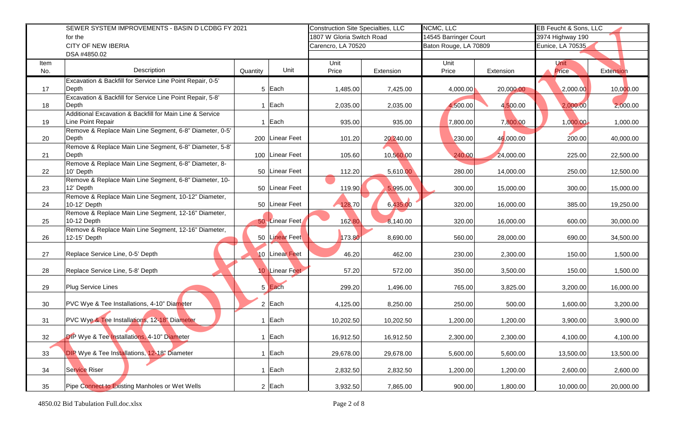|      | SEWER SYSTEM IMPROVEMENTS - BASIN D LCDBG FY 2021                    |                  |                    | <b>Construction Site Specialties, LLC</b> | NCMC, LLC             |           | EB Feucht & Sons, LLC |           |  |
|------|----------------------------------------------------------------------|------------------|--------------------|-------------------------------------------|-----------------------|-----------|-----------------------|-----------|--|
|      | for the                                                              |                  |                    | 1807 W Gloria Switch Road                 | 14545 Barringer Court |           | 3974 Highway 190      |           |  |
|      | <b>CITY OF NEW IBERIA</b>                                            |                  | Carencro, LA 70520 |                                           | Baton Rouge, LA 70809 |           | Eunice, LA 70535.     |           |  |
|      | DSA #4850.02                                                         |                  |                    |                                           |                       |           |                       |           |  |
| Item |                                                                      |                  | Unit               |                                           | Unit                  |           | <b>Unit</b>           |           |  |
| No.  | Description                                                          | Unit<br>Quantity | Price              | Extension                                 | Price                 | Extension | Price                 | Extension |  |
|      | Excavation & Backfill for Service Line Point Repair, 0-5'            |                  |                    |                                           |                       |           |                       |           |  |
| 17   | Depth                                                                | 5 Each           | 1,485.00           | 7,425.00                                  | 4,000.00              | 20,000.00 | 2,000.00              | 10,000.00 |  |
|      | Excavation & Backfill for Service Line Point Repair, 5-8'            | 1 Each           |                    |                                           |                       |           |                       |           |  |
| 18   | Depth<br>Additional Excavation & Backfill for Main Line & Service    |                  | 2,035.00           | 2,035.00                                  | 4,500.00              | 4,500.00  | 2,000.00              | 2,000.00  |  |
| 19   | Line Point Repair                                                    | 1 Each           | 935.00             | 935.00                                    | 7,800.00              | 7,800.00  | 1,000.00              | 1,000.00  |  |
|      | Remove & Replace Main Line Segment, 6-8" Diameter, 0-5'              |                  |                    |                                           |                       |           |                       |           |  |
| 20   | Depth                                                                | 200 Linear Feet  | 101.20             | 20,240.00                                 | 230.00                | 46,000.00 | 200.00                | 40,000.00 |  |
|      | Remove & Replace Main Line Segment, 6-8" Diameter, 5-8'              |                  |                    |                                           |                       |           |                       |           |  |
| 21   | Depth                                                                | 100 Linear Feet  | 105.60             | 10,560.00                                 | 240.00                | 24,000.00 | 225.00                | 22,500.00 |  |
|      | Remove & Replace Main Line Segment, 6-8" Diameter, 8-                |                  |                    |                                           |                       |           |                       |           |  |
| 22   | 10' Depth                                                            | 50 Linear Feet   | 112.20             | 5,610.00                                  | 280.00                | 14,000.00 | 250.00                | 12,500.00 |  |
|      | Remove & Replace Main Line Segment, 6-8" Diameter, 10-               |                  |                    |                                           |                       |           |                       |           |  |
| 23   | 12' Depth                                                            | 50 Linear Feet   | 119.90             | 5,995.00                                  | 300.00                | 15,000.00 | 300.00                | 15,000.00 |  |
|      | Remove & Replace Main Line Segment, 10-12" Diameter,                 |                  |                    |                                           |                       |           |                       |           |  |
| 24   | 10-12' Depth                                                         | 50 Linear Feet   | 128.70             | 6,435.00                                  | 320.00                | 16,000.00 | 385.00                | 19,250.00 |  |
|      | Remove & Replace Main Line Segment, 12-16" Diameter,                 |                  |                    |                                           |                       |           |                       |           |  |
| 25   | 10-12 Depth                                                          | 50 Linear Feet   | 162.80             | 8,140.00                                  | 320.00                | 16,000.00 | 600.00                | 30,000.00 |  |
| 26   | Remove & Replace Main Line Segment, 12-16" Diameter,<br>12-15' Depth | 50 Linear Feet   | 173.80             |                                           |                       |           |                       |           |  |
|      |                                                                      |                  |                    | 8,690.00                                  | 560.00                | 28,000.00 | 690.00                | 34,500.00 |  |
| 27   | Replace Service Line, 0-5' Depth                                     | 10 Linear Feet   | 46.20              | 462.00                                    | 230.00                | 2,300.00  | 150.00                | 1,500.00  |  |
|      |                                                                      |                  |                    |                                           |                       |           |                       |           |  |
| 28   | Replace Service Line, 5-8' Depth                                     | 10 Linear Feet   | 57.20              | 572.00                                    | 350.00                | 3,500.00  | 150.00                | 1,500.00  |  |
|      |                                                                      |                  |                    |                                           |                       |           |                       |           |  |
| 29   | Plug Service Lines                                                   | 5 Each           | 299.20             | 1,496.00                                  | 765.00                | 3,825.00  | 3,200.00              | 16,000.00 |  |
|      |                                                                      |                  |                    |                                           |                       |           |                       |           |  |
| 30   | PVC Wye & Tee Installations, 4-10" Diameter                          | 2 Each           | 4,125.00           | 8,250.00                                  | 250.00                | 500.00    | 1,600.00              | 3,200.00  |  |
|      |                                                                      |                  |                    |                                           |                       |           |                       |           |  |
| 31   | PVC Wye & Tee Installations, 12-18" Diameter                         | 1 Each           | 10,202.50          | 10,202.50                                 | 1,200.00              | 1,200.00  | 3,900.00              | 3,900.00  |  |
|      |                                                                      |                  |                    |                                           |                       |           |                       |           |  |
| 32   | <b>DIP</b> Wye & Tee Installations, 4-10" Diameter                   | $1$ Each         | 16,912.50          | 16,912.50                                 | 2,300.00              | 2,300.00  | 4,100.00              | 4,100.00  |  |
|      |                                                                      |                  |                    |                                           |                       |           |                       |           |  |
| 33   | DIP Wye & Tee Installations, 12-18" Diameter                         | 1 Each           | 29,678.00          | 29,678.00                                 | 5,600.00              | 5,600.00  | 13,500.00             | 13,500.00 |  |
| 34   | Service Riser                                                        | 1 Each           | 2,832.50           | 2,832.50                                  | 1,200.00              | 1,200.00  | 2,600.00              | 2,600.00  |  |
|      |                                                                      |                  |                    |                                           |                       |           |                       |           |  |
| 35   | Pipe Connect to Existing Manholes or Wet Wells                       | $2$ Each         | 3,932.50           | 7,865.00                                  | 900.00                | 1,800.00  | 10,000.00             | 20,000.00 |  |
|      |                                                                      |                  |                    |                                           |                       |           |                       |           |  |
|      | 4850.02 Bid Tabulation Full.doc.xlsx                                 |                  | Page 2 of 8        |                                           |                       |           |                       |           |  |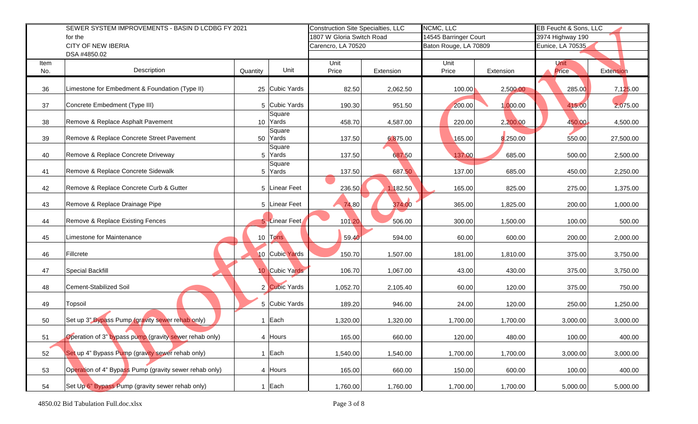|      | SEWER SYSTEM IMPROVEMENTS - BASIN D LCDBG FY 2021      | <b>Construction Site Specialties, LLC</b> |                    | NCMC, LLC             |                       | EB Feucht & Sons, LLC |                  |           |
|------|--------------------------------------------------------|-------------------------------------------|--------------------|-----------------------|-----------------------|-----------------------|------------------|-----------|
|      | for the                                                | 1807 W Gloria Switch Road                 |                    | 14545 Barringer Court |                       | 3974 Highway 190      |                  |           |
|      | <b>CITY OF NEW IBERIA</b>                              |                                           | Carencro, LA 70520 |                       | Baton Rouge, LA 70809 |                       | Eunice, LA 70535 |           |
|      | DSA #4850.02                                           |                                           |                    |                       |                       |                       |                  |           |
| Item | Description                                            | Unit                                      | Unit               | Extension             | Unit                  |                       | <b>Unit</b>      |           |
| No.  | Quantity                                               |                                           | Price              |                       | Price                 | Extension             | Price            | Extension |
| 36   | Limestone for Embedment & Foundation (Type II)         | 25 Cubic Yards                            | 82.50              | 2,062.50              | 100.00                | 2,500.00              | 285.00           | 7,125.00  |
| 37   | Concrete Embedment (Type III)                          | 5 Cubic Yards                             | 190.30             | 951.50                | 200.00                | 1,000.00              | 415.00           | 2,075.00  |
| 38   | Remove & Replace Asphalt Pavement                      | Square<br>10 Yards                        | 458.70             | 4,587.00              | 220.00                | 2,200.00              | 450.00           | 4,500.00  |
| 39   | Remove & Replace Concrete Street Pavement              | Square<br>50 Yards                        | 137.50             | 6,875.00              | 165.00                | 8,250.00              | 550.00           | 27,500.00 |
| 40   | Remove & Replace Concrete Driveway                     | Square<br>5 Yards                         | 137.50             | 687.50                | 137.00                | 685.00                | 500.00           | 2,500.00  |
| 41   | Remove & Replace Concrete Sidewalk                     | Square<br>5 Yards                         | 137.50             | 687.50                | 137.00                | 685.00                | 450.00           | 2,250.00  |
| 42   | Remove & Replace Concrete Curb & Gutter                | 5 Linear Feet                             | 236.50             | 1,182.50              | 165.00                | 825.00                | 275.00           | 1,375.00  |
| 43   | Remove & Replace Drainage Pipe                         | 5 Linear Feet                             | 74.80              | 374.00                | 365.00                | 1,825.00              | 200.00           | 1,000.00  |
| 44   | Remove & Replace Existing Fences                       | 5 Linear Feet                             | 101.20             | 506.00                | 300.00                | 1,500.00              | 100.00           | 500.00    |
| 45   | Limestone for Maintenance                              | 10 Tons                                   | 59.40              | 594.00                | 60.00                 | 600.00                | 200.00           | 2,000.00  |
| 46   | Fillcrete                                              | 10 Cubic Yards                            | 150.70             | 1,507.00              | 181.00                | 1,810.00              | 375.00           | 3,750.00  |
| 47   | <b>Special Backfill</b>                                | 10 Cubic Yards                            | 106.70             | 1,067.00              | 43.00                 | 430.00                | 375.00           | 3,750.00  |
| 48   | <b>Cement-Stabilized Soil</b>                          | 2 Cubic Yards                             | 1,052.70           | 2,105.40              | 60.00                 | 120.00                | 375.00           | 750.00    |
| 49   | Topsoil                                                | 5 Cubic Yards                             | 189.20             | 946.00                | 24.00                 | 120.00                | 250.00           | 1,250.00  |
| 50   | Set up 3" Bypass Pump (gravity sewer rehab only)       | 1 Each                                    | 1,320.00           | 1,320.00              | 1,700.00              | 1,700.00              | 3,000.00         | 3,000.00  |
| 51   | Operation of 3" bypass pump (gravity sewer rehab only) | 4 Hours                                   | 165.00             | 660.00                | 120.00                | 480.00                | 100.00           | 400.00    |
| 52   | Set up 4" Bypass Pump (gravity sewer rehab only)       | 1 Each                                    | 1,540.00           | 1,540.00              | 1,700.00              | 1,700.00              | 3,000.00         | 3,000.00  |
| 53   | Operation of 4" Bypass Pump (gravity sewer rehab only) | 4 Hours                                   | 165.00             | 660.00                | 150.00                | 600.00                | 100.00           | 400.00    |
| 54   | Set Up 6" Bypass Pump (gravity sewer rehab only)       | 1 Each                                    | 1,760.00           | 1,760.00              | 1,700.00              | 1,700.00              | 5,000.00         | 5,000.00  |
|      | 4850.02 Bid Tabulation Full.doc.xlsx                   |                                           | Page 3 of 8        |                       |                       |                       |                  |           |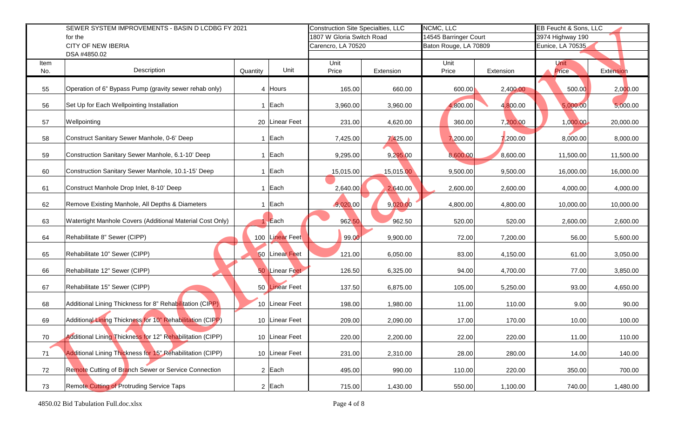|      | SEWER SYSTEM IMPROVEMENTS - BASIN D LCDBG FY 2021         |          |                 |                    | <b>Construction Site Specialties, LLC</b> | NCMC, LLC             |           | EB Feucht & Sons, LLC |           |
|------|-----------------------------------------------------------|----------|-----------------|--------------------|-------------------------------------------|-----------------------|-----------|-----------------------|-----------|
|      | for the                                                   |          |                 |                    | 1807 W Gloria Switch Road                 | 14545 Barringer Court |           | 3974 Highway 190      |           |
|      | <b>CITY OF NEW IBERIA</b><br>DSA #4850.02                 |          |                 | Carencro, LA 70520 |                                           | Baton Rouge, LA 70809 |           | Eunice, LA 70535      |           |
| Item |                                                           |          |                 | Unit               |                                           | Unit                  |           | <b>Unit</b>           |           |
| No.  | Description                                               | Quantity | Unit            | Price              | Extension                                 | Price                 | Extension | Price                 | Extension |
|      |                                                           |          |                 |                    |                                           |                       |           |                       |           |
| 55   | Operation of 6" Bypass Pump (gravity sewer rehab only)    |          | 4 Hours         | 165.00             | 660.00                                    | 600.00                | 2,400.00  | 500.00                | 2,000.00  |
|      |                                                           |          |                 |                    |                                           |                       |           |                       |           |
| 56   | Set Up for Each Wellpointing Installation                 |          | 1 Each          | 3,960.00           | 3,960.00                                  | 4,800.00              | 4,800.00  | 5,000.00              | 5,000.00  |
| 57   | Wellpointing                                              |          | 20 Linear Feet  | 231.00             | 4,620.00                                  | 360.00                | 7,200.00  | 1,000.00              | 20,000.00 |
|      |                                                           |          |                 |                    |                                           |                       |           |                       |           |
| 58   | Construct Sanitary Sewer Manhole, 0-6' Deep               |          | 1 Each          | 7,425.00           | 7,425.00                                  | 7,200.00              | 7,200.00  | 8,000.00              | 8,000.00  |
| 59   | Construction Sanitary Sewer Manhole, 6.1-10' Deep         |          | 1 Each          | 9,295.00           | 9,295.00                                  | 8,600.00              | 8,600.00  | 11,500.00             | 11,500.00 |
|      |                                                           |          |                 |                    |                                           |                       |           |                       |           |
| 60   | Construction Sanitary Sewer Manhole, 10.1-15' Deep        |          | 1 Each          | 15,015.00          | 15,015.00                                 | 9,500.00              | 9,500.00  | 16,000.00             | 16,000.00 |
|      |                                                           |          |                 |                    |                                           |                       |           |                       |           |
| 61   | Construct Manhole Drop Inlet, 8-10' Deep                  |          | 1 Each          | 2,640.00           | 2,640.00                                  | 2,600.00              | 2,600.00  | 4,000.00              | 4,000.00  |
| 62   | Remove Existing Manhole, All Depths & Diameters           |          | 1 Each          | 9,020,00           | 9,020.00                                  | 4,800.00              | 4,800.00  | 10,000.00             | 10,000.00 |
|      |                                                           |          |                 |                    |                                           |                       |           |                       |           |
| 63   | Watertight Manhole Covers (Additional Material Cost Only) |          | Exch            | 962.50             | 962.50                                    | 520.00                | 520.00    | 2,600.00              | 2,600.00  |
|      |                                                           |          |                 |                    |                                           |                       |           |                       |           |
| 64   | Rehabilitate 8" Sewer (CIPP)                              |          | 100 Linear Feet | 99.00              | 9,900.00                                  | 72.00                 | 7,200.00  | 56.00                 | 5,600.00  |
| 65   | Rehabilitate 10" Sewer (CIPP)                             |          | 50 Linear Feet  | 121.00             | 6,050.00                                  | 83.00                 | 4,150.00  | 61.00                 | 3,050.00  |
|      |                                                           |          |                 |                    |                                           |                       |           |                       |           |
| 66   | Rehabilitate 12" Sewer (CIPP)                             |          | 50 Linear Feet  | 126.50             | 6,325.00                                  | 94.00                 | 4,700.00  | 77.00                 | 3,850.00  |
| 67   | Rehabilitate 15" Sewer (CIPP)                             |          | 50 Linear Feet  | 137.50             | 6,875.00                                  | 105.00                | 5,250.00  | 93.00                 | 4,650.00  |
|      |                                                           |          |                 |                    |                                           |                       |           |                       |           |
| 68   | Additional Lining Thickness for 8" Rehabilitation (CIPP)  |          | 10 Linear Feet  | 198.00             | 1,980.00                                  | 11.00                 | 110.00    | 9.00                  | 90.00     |
|      |                                                           |          |                 |                    |                                           |                       |           |                       |           |
| 69   | Additional Lining Thickness for 10" Rehabilitation (CIPP) |          | 10 Linear Feet  | 209.00             | 2,090.00                                  | 17.00                 | 170.00    | 10.00                 | 100.00    |
| 70   | Additional Lining Thickness for 12" Rehabilitation (CIPP) |          | 10 Linear Feet  | 220.00             | 2,200.00                                  | 22.00                 | 220.00    | 11.00                 | 110.00    |
|      |                                                           |          |                 |                    |                                           |                       |           |                       |           |
| 71   | Additional Lining Thickness for 15" Rehabilitation (CIPP) |          | 10 Linear Feet  | 231.00             | 2,310.00                                  | 28.00                 | 280.00    | 14.00                 | 140.00    |
|      |                                                           |          |                 |                    |                                           |                       |           |                       |           |
| 72   | Remote Cutting of Branch Sewer or Service Connection      |          | $2$ Each        | 495.00             | 990.00                                    | 110.00                | 220.00    | 350.00                | 700.00    |
| 73   | <b>Remote Cutting of Protruding Service Taps</b>          |          | $2$ Each        | 715.00             | 1,430.00                                  | 550.00                | 1,100.00  | 740.00                | 1,480.00  |
|      |                                                           |          |                 |                    |                                           |                       |           |                       |           |
|      | 4850.02 Bid Tabulation Full.doc.xlsx                      |          |                 | Page 4 of 8        |                                           |                       |           |                       |           |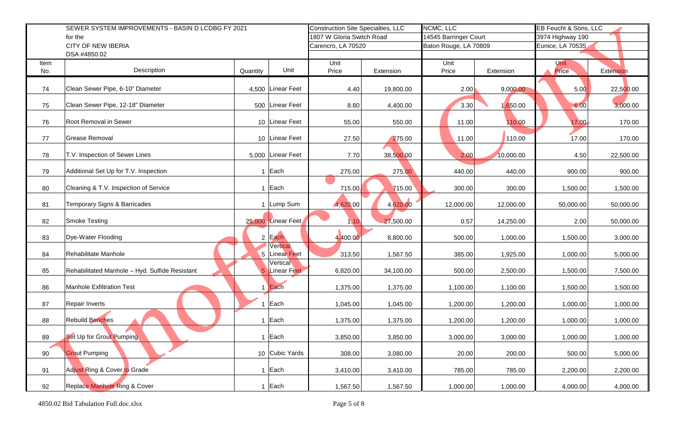|      | SEWER SYSTEM IMPROVEMENTS - BASIN D LCDBG FY 2021 | <b>Construction Site Specialties, LLC</b> |                           | NCMC, LLC |                       | EB Feucht & Sons, LLC |                  |           |
|------|---------------------------------------------------|-------------------------------------------|---------------------------|-----------|-----------------------|-----------------------|------------------|-----------|
|      | for the                                           |                                           | 1807 W Gloria Switch Road |           | 14545 Barringer Court |                       | 3974 Highway 190 |           |
|      | <b>CITY OF NEW IBERIA</b><br>DSA #4850.02         |                                           | Carencro, LA 70520        |           | Baton Rouge, LA 70809 |                       | Eunice, LA 70535 |           |
| Item |                                                   |                                           | Unit                      |           | Unit                  |                       | Unit             |           |
| No.  | Description<br>Quantity                           | Unit                                      | Price                     | Extension | Price                 | Extension             | Price            | Extension |
|      |                                                   |                                           |                           |           |                       |                       |                  |           |
| 74   | Clean Sewer Pipe, 6-10" Diameter                  | 4,500 Linear Feet                         | 4.40                      | 19,800.00 | 2.00                  | 9,000.00              | 5.00             | 22,500.00 |
| 75   | Clean Sewer Pipe, 12-18" Diameter                 | 500 Linear Feet                           | 8.80                      | 4,400.00  | 3.30                  | 1,650.00              | 6.00             | 3,000.00  |
| 76   | Root Removal in Sewer                             | 10 Linear Feet                            | 55.00                     | 550.00    | 11.00                 | 110.00                | 17.00            | 170.00    |
| 77   | Grease Removal                                    | 10 Linear Feet                            | 27.50                     | 275.00    | 11.00                 | 110.00                | 17.00            | 170.00    |
| 78   | T.V. Inspection of Sewer Lines                    | 5,000 Linear Feet                         | 7.70                      | 38,500.00 | 2.00                  | 10,000.00             | 4.50             | 22,500.00 |
| 79   | Additional Set Up for T.V. Inspection<br>1        | Each                                      | 275.00                    | 275.00    | 440.00                | 440.00                | 900.00           | 900.00    |
| 80   | Cleaning & T.V. Inspection of Service             | 1 Each                                    | 715.00                    | 715.00    | 300.00                | 300.00                | 1,500.00         | 1,500.00  |
| 81   | Temporary Signs & Barricades<br>$\mathbf{1}$      | Lump Sum                                  | 4,620.00                  | 4,620.00  | 12,000.00             | 12,000.00             | 50,000.00        | 50,000.00 |
| 82   | <b>Smoke Testing</b>                              | 25,000 Linear Feet                        | 1.10                      | 27,500.00 | 0.57                  | 14,250.00             | 2.00             | 50,000.00 |
| 83   | Dye-Water Flooding                                | 2 Each                                    | 4,400.00                  | 8,800.00  | 500.00                | 1,000.00              | 1,500.00         | 3,000.00  |
| 84   | Rehabilitate Manhole                              | Vertical<br>5 Linear Feet<br>Vertical     | 313.50                    | 1,567.50  | 385.00                | 1,925.00              | 1,000.00         | 5,000.00  |
| 85   | Rehabilitated Manhole - Hyd. Sulfide Resistant    | 5 Linear Feet                             | 6,820.00                  | 34,100.00 | 500.00                | 2,500.00              | 1,500.00         | 7,500.00  |
| 86   | <b>Manhole Exfiltration Test</b>                  | Each                                      | 1,375.00                  | 1,375.00  | 1,100.00              | 1,100.00              | 1,500.00         | 1,500.00  |
| 87   | Repair Inverts                                    | Each                                      | 1,045.00                  | 1,045.00  | 1,200.00              | 1,200.00              | 1,000.00         | 1,000.00  |
| 88   | <b>Rebuild Benches</b>                            | Each                                      | 1,375.00                  | 1,375.00  | 1,200.00              | 1,200.00              | 1,000.00         | 1,000.00  |
| 89   | Set Up for Grout Pumping                          | $1$ Each                                  | 3,850.00                  | 3,850.00  | 3,000.00              | 3,000.00              | 1,000.00         | 1,000.00  |
| 90   | <b>Grout Pumping</b>                              | 10 Cubic Yards                            | 308.00                    | 3,080.00  | 20.00                 | 200.00                | 500.00           | 5,000.00  |
| 91   | Adjust Ring & Cover to Grade                      | $1$ Each                                  | 3,410.00                  | 3,410.00  | 785.00                | 785.00                | 2,200.00         | 2,200.00  |
| 92   | <b>Replace Manhole Ring &amp; Cover</b>           | $1$ Each                                  | 1,567.50                  | 1,567.50  | 1,000.00              | 1,000.00              | 4,000.00         | 4,000.00  |
|      | 4850.02 Bid Tabulation Full.doc.xlsx              |                                           | Page 5 of 8               |           |                       |                       |                  |           |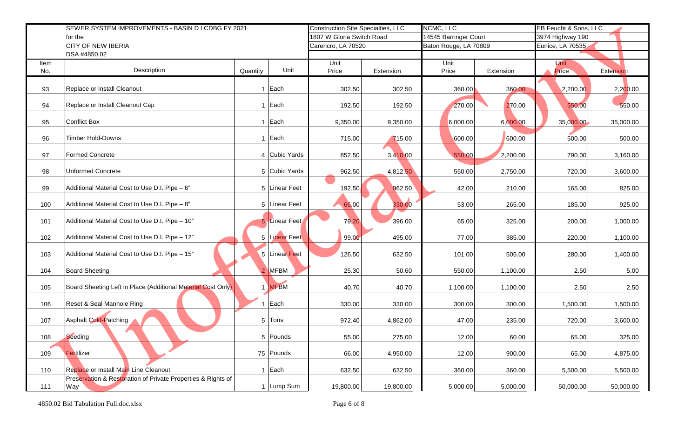| SEWER SYSTEM IMPROVEMENTS - BASIN D LCDBG FY 2021 |                                                                     |                      | <b>Construction Site Specialties, LLC</b> |           | NCMC, LLC             |           | EB Feucht & Sons, LLC |           |
|---------------------------------------------------|---------------------------------------------------------------------|----------------------|-------------------------------------------|-----------|-----------------------|-----------|-----------------------|-----------|
|                                                   | for the                                                             |                      | 1807 W Gloria Switch Road                 |           | 14545 Barringer Court |           | 3974 Highway 190      |           |
|                                                   | <b>CITY OF NEW IBERIA</b>                                           |                      | Carencro, LA 70520                        |           | Baton Rouge, LA 70809 |           | Eunice, LA 70535      |           |
|                                                   | DSA #4850.02                                                        |                      |                                           |           |                       |           |                       |           |
| Item<br>No.                                       | Description<br>Quantity                                             | Unit                 | Unit<br>Price                             | Extension | Unit<br>Price         | Extension | Unit<br>Price         | Extension |
|                                                   |                                                                     |                      |                                           |           |                       |           |                       |           |
| 93                                                | Replace or Install Cleanout                                         | 1 Each               | 302.50                                    | 302.50    | 360.00                | 360.00    | 2,200.00              | 2,200.00  |
| 94                                                | Replace or Install Cleanout Cap                                     | 1 Each               | 192.50                                    | 192.50    | 270.00                | 270.00    | 550.00                | 550.00    |
| 95                                                | <b>Conflict Box</b>                                                 | Each<br>$\mathbf{1}$ | 9,350.00                                  | 9,350.00  | 6,000.00              | 6,000.00  | 35,000.00             | 35,000.00 |
| 96                                                | Timber Hold-Downs                                                   | 1 Each               | 715.00                                    | 715.00    | 600.00                | 600.00    | 500.00                | 500.00    |
| 97                                                | <b>Formed Concrete</b>                                              | 4 Cubic Yards        | 852.50                                    | 3,410.00  | 550.00                | 2,200.00  | 790.00                | 3,160.00  |
| 98                                                | <b>Unformed Concrete</b>                                            | 5 Cubic Yards        | 962.50                                    | 4,812.50  | 550.00                | 2,750.00  | 720.00                | 3,600.00  |
| 99                                                | Additional Material Cost to Use D.I. Pipe - 6"                      | 5 Linear Feet        | 192.50                                    | 962.50    | 42.00                 | 210.00    | 165.00                | 825.00    |
| 100                                               | Additional Material Cost to Use D.I. Pipe - 8"                      | 5 Linear Feet        | 66.00                                     | 330.00    | 53.00                 | 265.00    | 185.00                | 925.00    |
| 101                                               | Additional Material Cost to Use D.I. Pipe - 10"                     | 5 Linear Feet        | 79.20                                     | 396.00    | 65.00                 | 325.00    | 200.00                | 1,000.00  |
| 102                                               | Additional Material Cost to Use D.I. Pipe - 12"                     | 5 Linear Feet        | 99.00                                     | 495.00    | 77.00                 | 385.00    | 220.00                | 1,100.00  |
| 103                                               | Additional Material Cost to Use D.I. Pipe - 15"                     | 5 Linear Feet        | 126.50                                    | 632.50    | 101.00                | 505.00    | 280.00                | 1,400.00  |
| 104                                               | <b>Board Sheeting</b>                                               | MFBM<br>2            | 25.30                                     | 50.60     | 550.00                | 1,100.00  | 2.50                  | 5.00      |
| 105                                               | Board Sheeting Left in Place (Additional Material Cost Only)        | <b>MFBM</b>          | 40.70                                     | 40.70     | 1,100.00              | 1,100.00  | 2.50                  | 2.50      |
| 106                                               | Reset & Seal Manhole Ring                                           | Each                 | 330.00                                    | 330.00    | 300.00                | 300.00    | 1,500.00              | 1,500.00  |
| 107                                               | <b>Asphalt Cold-Patching</b>                                        | 5 Tons               | 972.40                                    | 4,862.00  | 47.00                 | 235.00    | 720.00                | 3,600.00  |
| 108                                               | Seeding                                                             | 5 Pounds             | 55.00                                     | 275.00    | 12.00                 | 60.00     | 65.00                 | 325.00    |
| 109                                               | Fertilizer                                                          | 75 Pounds            | 66.00                                     | 4,950.00  | 12.00                 | 900.00    | 65.00                 | 4,875.00  |
| 110                                               | Replace or Install Main Line Cleanout                               | 1 Each               | 632.50                                    | 632.50    | 360.00                | 360.00    | 5,500.00              | 5,500.00  |
| 111                                               | Preservation & Restoration of Private Properties & Rights of<br>Way | Lump Sum             | 19,800.00                                 | 19,800.00 | 5,000.00              | 5,000.00  | 50,000.00             | 50,000.00 |
|                                                   | 4850.02 Bid Tabulation Full.doc.xlsx                                |                      | Page 6 of 8                               |           |                       |           |                       |           |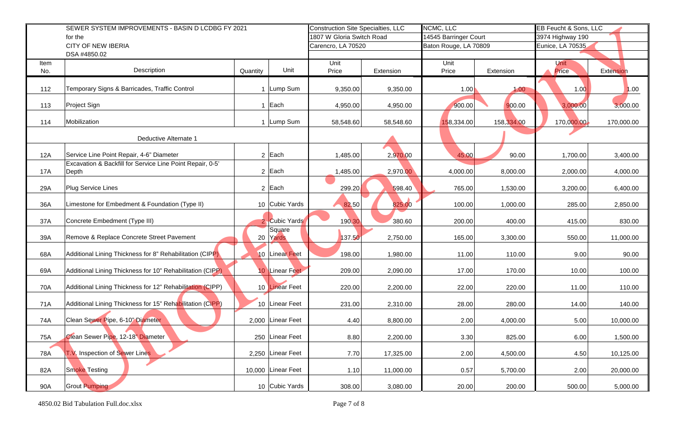|            | SEWER SYSTEM IMPROVEMENTS - BASIN D LCDBG FY 2021                  |                           |                    |                       | <b>Construction Site Specialties, LLC</b> | NCMC, LLC             |             | EB Feucht & Sons, LLC |            |  |
|------------|--------------------------------------------------------------------|---------------------------|--------------------|-----------------------|-------------------------------------------|-----------------------|-------------|-----------------------|------------|--|
|            | for the                                                            | 1807 W Gloria Switch Road |                    | 14545 Barringer Court |                                           | 3974 Highway 190      |             |                       |            |  |
|            | <b>CITY OF NEW IBERIA</b>                                          |                           |                    | Carencro, LA 70520    |                                           | Baton Rouge, LA 70809 |             | Eunice, LA 70535      |            |  |
|            | DSA #4850.02                                                       |                           |                    |                       |                                           |                       |             |                       |            |  |
| Item       | Description                                                        |                           | Unit               | Unit                  |                                           | Unit                  |             | <b>Unit</b>           |            |  |
| No.        |                                                                    | Quantity                  |                    | Price                 | Extension                                 | Price                 | Extension   | Price                 | Extension  |  |
| 112        | Temporary Signs & Barricades, Traffic Control                      |                           | 1 Lump Sum         | 9,350.00              | 9,350.00                                  | 1.00                  | 1.00        | 1.00                  | 1.00       |  |
| 113        | Project Sign                                                       |                           | 1 Each             | 4,950.00              | 4,950.00                                  | 900.00                | 900.00      | 3,000.00              | 3,000.00   |  |
| 114        | Mobilization                                                       |                           | 1 Lump Sum         | 58,548.60             | 58,548.60                                 | 158,334.00            | 158, 334.00 | 170,000.00            | 170,000.00 |  |
|            | Deductive Alternate 1                                              |                           |                    |                       |                                           |                       |             |                       |            |  |
| 12A        | Service Line Point Repair, 4-6" Diameter                           |                           | $2$ Each           | 1,485.00              | 2,970.00                                  | 45.00                 | 90.00       | 1,700.00              | 3,400.00   |  |
| <b>17A</b> | Excavation & Backfill for Service Line Point Repair, 0-5'<br>Depth |                           | $2$ Each           | 1,485.00              | 2,970.00                                  | 4,000.00              | 8,000.00    | 2,000.00              | 4,000.00   |  |
| 29A        | Plug Service Lines                                                 |                           | $2$ Each           | 299.20                | 598.40                                    | 765.00                | 1,530.00    | 3,200.00              | 6,400.00   |  |
| 36A        | Limestone for Embedment & Foundation (Type II)                     |                           | 10 Cubic Yards     | 82.50                 | 825.00                                    | 100.00                | 1,000.00    | 285.00                | 2,850.00   |  |
| 37A        | Concrete Embedment (Type III)                                      |                           | 2 Cubic Yards      | 190.30                | 380.60                                    | 200.00                | 400.00      | 415.00                | 830.00     |  |
| 39A        | Remove & Replace Concrete Street Pavement                          |                           | Square<br>20 Yards | 137.50                | 2,750.00                                  | 165.00                | 3,300.00    | 550.00                | 11,000.00  |  |
| 68A        | Additional Lining Thickness for 8" Rehabilitation (CIPP)           |                           | 10 Linear Feet     | 198.00                | 1,980.00                                  | 11.00                 | 110.00      | 9.00                  | 90.00      |  |
| 69A        | Additional Lining Thickness for 10" Rehabilitation (CIPP)          |                           | 10 Linear Feet     | 209.00                | 2,090.00                                  | 17.00                 | 170.00      | 10.00                 | 100.00     |  |
| 70A        | Additional Lining Thickness for 12" Rehabilitation (CIPP)          |                           | 10 Linear Feet     | 220.00                | 2,200.00                                  | 22.00                 | 220.00      | 11.00                 | 110.00     |  |
| 71A        | Additional Lining Thickness for 15" Rehabilitation (CIPP)          |                           | 10 Linear Feet     | 231.00                | 2,310.00                                  | 28.00                 | 280.00      | 14.00                 | 140.00     |  |
| 74A        | Clean Sewer Pipe, 6-10" Diameter                                   |                           | 2,000 Linear Feet  | 4.40                  | 8,800.00                                  | 2.00                  | 4,000.00    | 5.00                  | 10,000.00  |  |
| 75A        | Clean Sewer Pipe, 12-18" Diameter                                  |                           | 250 Linear Feet    | 8.80                  | 2,200.00                                  | 3.30                  | 825.00      | 6.00                  | 1,500.00   |  |
| 78A        | T.V. Inspection of Sewer Lines                                     |                           | 2,250 Linear Feet  | 7.70                  | 17,325.00                                 | 2.00                  | 4,500.00    | 4.50                  | 10,125.00  |  |
| 82A        | <b>Smoke Testing</b>                                               |                           | 10,000 Linear Feet | 1.10                  | 11,000.00                                 | 0.57                  | 5,700.00    | 2.00                  | 20,000.00  |  |
| 90A        | <b>Grout Pumping</b>                                               |                           | 10 Cubic Yards     | 308.00                | 3,080.00                                  | 20.00                 | 200.00      | 500.00                | 5,000.00   |  |
|            | 4850.02 Bid Tabulation Full.doc.xlsx                               |                           |                    | Page 7 of 8           |                                           |                       |             |                       |            |  |